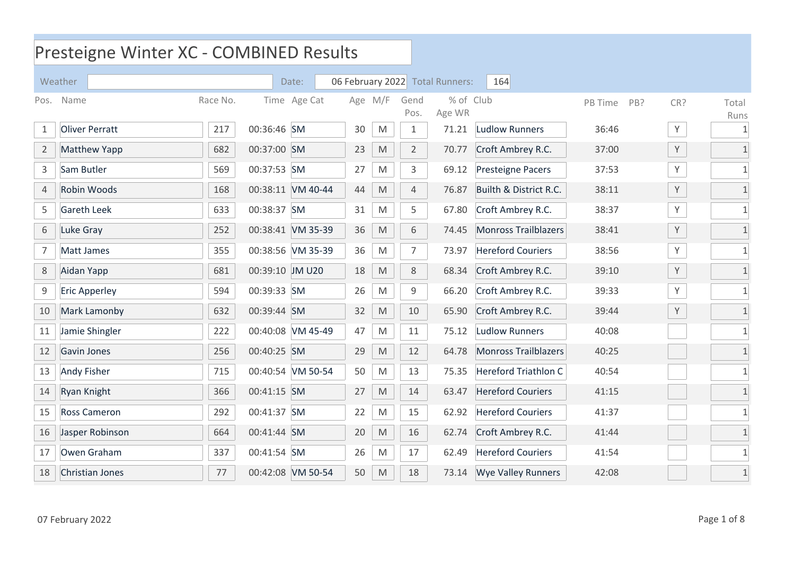## Presteigne Winter XC - COMBINED Results

|                | Weather               |          |                 | Date:             |    |                                                                                                            |                | 06 February 2022 Total Runners: | 164                         |         |              |               |
|----------------|-----------------------|----------|-----------------|-------------------|----|------------------------------------------------------------------------------------------------------------|----------------|---------------------------------|-----------------------------|---------|--------------|---------------|
| Pos.           | Name                  | Race No. |                 | Time Age Cat      |    | Age M/F                                                                                                    | Gend<br>Pos.   | % of Club<br>Age WR             |                             | PB Time | CR?<br>PB?   | Total<br>Runs |
| $\mathbf 1$    | <b>Oliver Perratt</b> | 217      | 00:36:46 SM     |                   | 30 | M                                                                                                          | $\mathbf{1}$   | 71.21                           | <b>Ludlow Runners</b>       | 36:46   | $\mathsf{Y}$ | $\mathbf{1}$  |
| $\overline{2}$ | <b>Matthew Yapp</b>   | 682      | 00:37:00 SM     |                   | 23 | ${\sf M}$                                                                                                  | $\overline{2}$ | 70.77                           | Croft Ambrey R.C.           | 37:00   | $\mathsf{Y}$ | $\mathbf{1}$  |
| 3              | Sam Butler            | 569      | 00:37:53 SM     |                   | 27 | M                                                                                                          | 3              | 69.12                           | <b>Presteigne Pacers</b>    | 37:53   | Y            | $\mathbf{1}$  |
| 4              | Robin Woods           | 168      |                 | 00:38:11 VM 40-44 | 44 | M                                                                                                          | $\overline{4}$ | 76.87                           | Builth & District R.C.      | 38:11   | Y            |               |
| 5              | <b>Gareth Leek</b>    | 633      | 00:38:37 SM     |                   | 31 | M                                                                                                          | 5              | 67.80                           | Croft Ambrey R.C.           | 38:37   | Y            |               |
| 6              | Luke Gray             | 252      |                 | 00:38:41 VM 35-39 | 36 | $\mathsf{M}% _{T}=\mathsf{M}_{T}\!\left( a,b\right) ,\ \mathsf{M}_{T}=\mathsf{M}_{T}\!\left( a,b\right) ,$ | 6              | 74.45                           | <b>Monross Trailblazers</b> | 38:41   | Υ            | $\mathbf{1}$  |
| 7              | Matt James            | 355      |                 | 00:38:56 VM 35-39 | 36 | M                                                                                                          | 7              | 73.97                           | <b>Hereford Couriers</b>    | 38:56   | Υ            | 1             |
| $\,8\,$        | Aidan Yapp            | 681      | 00:39:10 JM U20 |                   | 18 | M                                                                                                          | 8              | 68.34                           | Croft Ambrey R.C.           | 39:10   | Y            | $\mathbf{1}$  |
| 9              | <b>Eric Apperley</b>  | 594      | 00:39:33 SM     |                   | 26 | $\mathsf{M}% _{T}=\mathsf{M}_{T}\!\left( a,b\right) ,\ \mathsf{M}_{T}=\mathsf{M}_{T}\!\left( a,b\right) ,$ | 9              | 66.20                           | Croft Ambrey R.C.           | 39:33   | Υ            | $\mathbf{1}$  |
| 10             | Mark Lamonby          | 632      | 00:39:44 SM     |                   | 32 | M                                                                                                          | 10             | 65.90                           | Croft Ambrey R.C.           | 39:44   | Y            |               |
| 11             | Jamie Shingler        | 222      |                 | 00:40:08 VM 45-49 | 47 | M                                                                                                          | 11             | 75.12                           | <b>Ludlow Runners</b>       | 40:08   |              | $\mathbf 1$   |
| 12             | Gavin Jones           | 256      | 00:40:25 SM     |                   | 29 | M                                                                                                          | 12             | 64.78                           | <b>Monross Trailblazers</b> | 40:25   |              | $\mathbf{1}$  |
| 13             | <b>Andy Fisher</b>    | 715      |                 | 00:40:54 VM 50-54 | 50 | M                                                                                                          | 13             | 75.35                           | <b>Hereford Triathlon C</b> | 40:54   |              | $\mathbf{1}$  |
| 14             | Ryan Knight           | 366      | 00:41:15 SM     |                   | 27 | M                                                                                                          | 14             | 63.47                           | <b>Hereford Couriers</b>    | 41:15   |              | $\mathbf{1}$  |
| 15             | <b>Ross Cameron</b>   | 292      | 00:41:37 SM     |                   | 22 | M                                                                                                          | 15             | 62.92                           | <b>Hereford Couriers</b>    | 41:37   |              | $\mathbf{1}$  |
| 16             | Jasper Robinson       | 664      | 00:41:44 SM     |                   | 20 | M                                                                                                          | 16             | 62.74                           | Croft Ambrey R.C.           | 41:44   |              |               |
| 17             | Owen Graham           | 337      | 00:41:54 SM     |                   | 26 | M                                                                                                          | 17             | 62.49                           | <b>Hereford Couriers</b>    | 41:54   |              |               |
| 18             | Christian Jones       | 77       |                 | 00:42:08 VM 50-54 | 50 | $\mathsf{M}% _{T}=\mathsf{M}_{T}\!\left( a,b\right) ,\ \mathsf{M}_{T}=\mathsf{M}_{T}\!\left( a,b\right) ,$ | 18             | 73.14                           | <b>Wye Valley Runners</b>   | 42:08   |              | $\mathbf{1}$  |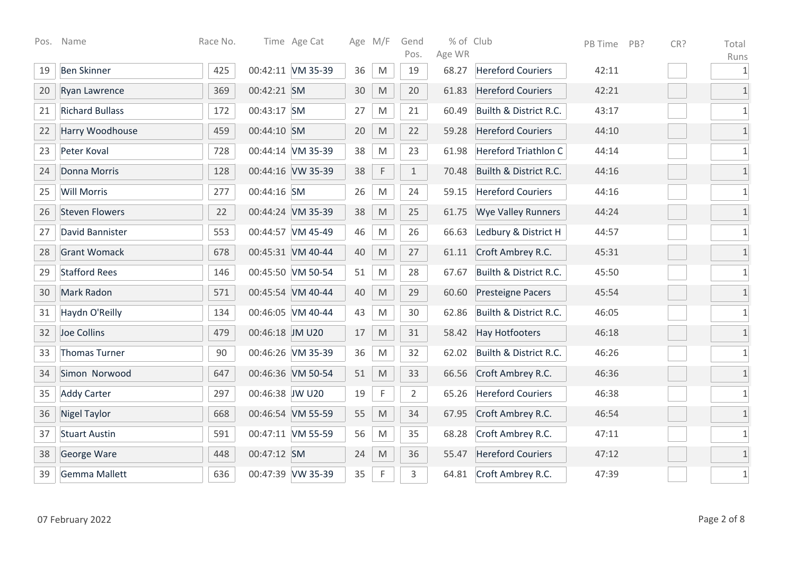| Pos. | Name                   | Race No. |                 | Time Age Cat      |        | Age M/F                                                                                                    | Gend<br>Pos.   | % of Club<br>Age WR |                             | PB Time | PB? | CR? | Total                |
|------|------------------------|----------|-----------------|-------------------|--------|------------------------------------------------------------------------------------------------------------|----------------|---------------------|-----------------------------|---------|-----|-----|----------------------|
| 19   | <b>Ben Skinner</b>     | 425      |                 | 00:42:11 VM 35-39 | 36     | M                                                                                                          | 19             | 68.27               | <b>Hereford Couriers</b>    | 42:11   |     |     | Runs<br>$\mathbf{1}$ |
| 20   | Ryan Lawrence          | 369      | 00:42:21 SM     |                   | $30\,$ | $\mathsf{M}% _{T}=\mathsf{M}_{T}\!\left( a,b\right) ,\ \mathsf{M}_{T}=\mathsf{M}_{T}\!\left( a,b\right) ,$ | 20             | 61.83               | <b>Hereford Couriers</b>    | 42:21   |     |     | $\mathbf 1$          |
| 21   | <b>Richard Bullass</b> | 172      | 00:43:17 SM     |                   | 27     | ${\sf M}$                                                                                                  | 21             | 60.49               | Builth & District R.C.      | 43:17   |     |     | $1\,$                |
| 22   | Harry Woodhouse        | 459      | 00:44:10 SM     |                   | 20     | $\mathsf{M}% _{T}=\mathsf{M}_{T}\!\left( a,b\right) ,\ \mathsf{M}_{T}=\mathsf{M}_{T}\!\left( a,b\right) ,$ | 22             | 59.28               | <b>Hereford Couriers</b>    | 44:10   |     |     | $\overline{1}$       |
| 23   | Peter Koval            | 728      |                 | 00:44:14 VM 35-39 | 38     | M                                                                                                          | 23             | 61.98               | <b>Hereford Triathlon C</b> | 44:14   |     |     | $1\,$                |
| 24   | Donna Morris           | 128      |                 | 00:44:16 VW 35-39 | 38     | $\mathsf F$                                                                                                | $\mathbf{1}$   | 70.48               | Builth & District R.C.      | 44:16   |     |     | $1\,$                |
| 25   | <b>Will Morris</b>     | 277      | 00:44:16 SM     |                   | 26     | M                                                                                                          | 24             | 59.15               | <b>Hereford Couriers</b>    | 44:16   |     |     | $1\,$                |
| 26   | <b>Steven Flowers</b>  | 22       |                 | 00:44:24 VM 35-39 | 38     | M                                                                                                          | 25             | 61.75               | <b>Wye Valley Runners</b>   | 44:24   |     |     | $1\,$                |
| 27   | David Bannister        | 553      |                 | 00:44:57 VM 45-49 | 46     | M                                                                                                          | 26             | 66.63               | Ledbury & District H        | 44:57   |     |     | $1\,$                |
| 28   | <b>Grant Womack</b>    | 678      |                 | 00:45:31 VM 40-44 | 40     | M                                                                                                          | 27             | 61.11               | Croft Ambrey R.C.           | 45:31   |     |     | $1\,$                |
| 29   | <b>Stafford Rees</b>   | 146      |                 | 00:45:50 VM 50-54 | 51     | M                                                                                                          | 28             | 67.67               | Builth & District R.C.      | 45:50   |     |     | $\mathbf 1$          |
| 30   | <b>Mark Radon</b>      | 571      |                 | 00:45:54 VM 40-44 | 40     | M                                                                                                          | 29             | 60.60               | <b>Presteigne Pacers</b>    | 45:54   |     |     | $1\,$                |
| 31   | Haydn O'Reilly         | 134      |                 | 00:46:05 VM 40-44 | 43     | M                                                                                                          | 30             | 62.86               | Builth & District R.C.      | 46:05   |     |     | 1                    |
| 32   | Joe Collins            | 479      | 00:46:18 JM U20 |                   | $17$   | M                                                                                                          | 31             | 58.42               | <b>Hay Hotfooters</b>       | 46:18   |     |     | $\mathbf{1}$         |
| 33   | Thomas Turner          | 90       |                 | 00:46:26 VM 35-39 | 36     | M                                                                                                          | 32             | 62.02               | Builth & District R.C.      | 46:26   |     |     | $\mathbf{1}$         |
| 34   | Simon Norwood          | 647      |                 | 00:46:36 VM 50-54 | 51     | $\mathsf{M}% _{T}=\mathsf{M}_{T}\!\left( a,b\right) ,\ \mathsf{M}_{T}=\mathsf{M}_{T}\!\left( a,b\right) ,$ | 33             | 66.56               | Croft Ambrey R.C.           | 46:36   |     |     | $\mathbf 1$          |
| 35   | <b>Addy Carter</b>     | 297      | 00:46:38 JW U20 |                   | 19     | $\mathsf F$                                                                                                | $\overline{2}$ | 65.26               | <b>Hereford Couriers</b>    | 46:38   |     |     | $1\,$                |
| 36   | <b>Nigel Taylor</b>    | 668      |                 | 00:46:54 VM 55-59 | 55     | $\mathsf{M}% _{T}=\mathsf{M}_{T}\!\left( a,b\right) ,\ \mathsf{M}_{T}=\mathsf{M}_{T}\!\left( a,b\right) ,$ | 34             | 67.95               | Croft Ambrey R.C.           | 46:54   |     |     | $\overline{1}$       |
| 37   | <b>Stuart Austin</b>   | 591      |                 | 00:47:11 VM 55-59 | 56     | M                                                                                                          | 35             | 68.28               | Croft Ambrey R.C.           | 47:11   |     |     | $\mathbf 1$          |
| 38   | George Ware            | 448      | 00:47:12 SM     |                   | 24     | $\mathsf{M}% _{T}=\mathsf{M}_{T}\!\left( a,b\right) ,\ \mathsf{M}_{T}=\mathsf{M}_{T}\!\left( a,b\right) ,$ | 36             | 55.47               | <b>Hereford Couriers</b>    | 47:12   |     |     | $\mathbf 1$          |
| 39   | <b>Gemma Mallett</b>   | 636      |                 | 00:47:39 VW 35-39 | 35     | $\mathsf F$                                                                                                | 3              | 64.81               | Croft Ambrey R.C.           | 47:39   |     |     | $\mathbf{1}$         |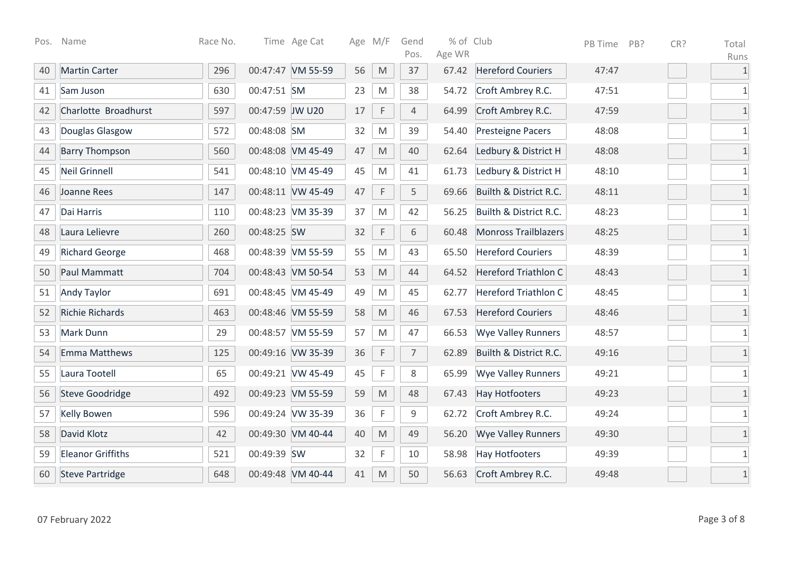| Pos. | Name                     | Race No. |                 | Time Age Cat      |    | Age M/F                                                                                                    | Gend<br>Pos.   | % of Club<br>Age WR |                             | PB Time | PB? | CR? | Total                |
|------|--------------------------|----------|-----------------|-------------------|----|------------------------------------------------------------------------------------------------------------|----------------|---------------------|-----------------------------|---------|-----|-----|----------------------|
| 40   | <b>Martin Carter</b>     | 296      |                 | 00:47:47 VM 55-59 | 56 | M                                                                                                          | 37             | 67.42               | <b>Hereford Couriers</b>    | 47:47   |     |     | Runs<br>$\mathbf{1}$ |
| 41   | Sam Juson                | 630      | 00:47:51 SM     |                   | 23 | M                                                                                                          | 38             | 54.72               | Croft Ambrey R.C.           | 47:51   |     |     | $1\,$                |
| 42   | Charlotte Broadhurst     | 597      | 00:47:59 JW U20 |                   | 17 | $\mathsf F$                                                                                                | $\overline{4}$ | 64.99               | Croft Ambrey R.C.           | 47:59   |     |     | $1\,$                |
| 43   | Douglas Glasgow          | 572      | 00:48:08 SM     |                   | 32 | M                                                                                                          | 39             | 54.40               | Presteigne Pacers           | 48:08   |     |     | $\mathbf{1}$         |
| 44   | <b>Barry Thompson</b>    | 560      |                 | 00:48:08 VM 45-49 | 47 | $\mathsf{M}% _{T}=\mathsf{M}_{T}\!\left( a,b\right) ,\ \mathsf{M}_{T}=\mathsf{M}_{T}\!\left( a,b\right) ,$ | 40             | 62.64               | Ledbury & District H        | 48:08   |     |     | $\mathbf 1$          |
| 45   | <b>Neil Grinnell</b>     | 541      |                 | 00:48:10 VM 45-49 | 45 | M                                                                                                          | 41             | 61.73               | Ledbury & District H        | 48:10   |     |     | $1\,$                |
| 46   | Joanne Rees              | 147      |                 | 00:48:11 VW 45-49 | 47 | $\mathsf F$                                                                                                | 5              | 69.66               | Builth & District R.C.      | 48:11   |     |     | $\overline{1}$       |
| 47   | Dai Harris               | 110      |                 | 00:48:23 VM 35-39 | 37 | M                                                                                                          | 42             | 56.25               | Builth & District R.C.      | 48:23   |     |     | $1\,$                |
| 48   | Laura Lelievre           | 260      | 00:48:25 SW     |                   | 32 | $\mathsf F$                                                                                                | 6              | 60.48               | <b>Monross Trailblazers</b> | 48:25   |     |     | $\mathbf{1}$         |
| 49   | <b>Richard George</b>    | 468      |                 | 00:48:39 VM 55-59 | 55 | M                                                                                                          | 43             | 65.50               | <b>Hereford Couriers</b>    | 48:39   |     |     | 1                    |
| 50   | Paul Mammatt             | 704      |                 | 00:48:43 VM 50-54 | 53 | M                                                                                                          | 44             | 64.52               | <b>Hereford Triathlon C</b> | 48:43   |     |     | $\overline{1}$       |
| 51   | <b>Andy Taylor</b>       | 691      |                 | 00:48:45 VM 45-49 | 49 | M                                                                                                          | 45             | 62.77               | <b>Hereford Triathlon C</b> | 48:45   |     |     | $\mathbf 1$          |
| 52   | <b>Richie Richards</b>   | 463      |                 | 00:48:46 VM 55-59 | 58 | M                                                                                                          | 46             | 67.53               | <b>Hereford Couriers</b>    | 48:46   |     |     | $1\,$                |
| 53   | Mark Dunn                | 29       |                 | 00:48:57 VM 55-59 | 57 | M                                                                                                          | 47             | 66.53               | <b>Wye Valley Runners</b>   | 48:57   |     |     | $\mathbf 1$          |
| 54   | <b>Emma Matthews</b>     | 125      |                 | 00:49:16 VW 35-39 | 36 | $\mathsf F$                                                                                                | $\overline{7}$ | 62.89               | Builth & District R.C.      | 49:16   |     |     | $\overline{1}$       |
| 55   | Laura Tootell            | 65       |                 | 00:49:21 VW 45-49 | 45 | $\mathsf{F}$                                                                                               | 8              | 65.99               | <b>Wye Valley Runners</b>   | 49:21   |     |     | $1\,$                |
| 56   | <b>Steve Goodridge</b>   | 492      |                 | 00:49:23 VM 55-59 | 59 | M                                                                                                          | 48             | 67.43               | <b>Hay Hotfooters</b>       | 49:23   |     |     | $\mathbf 1$          |
| 57   | <b>Kelly Bowen</b>       | 596      |                 | 00:49:24 VW 35-39 | 36 | $\mathsf F$                                                                                                | 9              | 62.72               | Croft Ambrey R.C.           | 49:24   |     |     | $\mathbf{1}$         |
| 58   | David Klotz              | 42       |                 | 00:49:30 VM 40-44 | 40 | ${\sf M}$                                                                                                  | 49             | 56.20               | <b>Wye Valley Runners</b>   | 49:30   |     |     | $\mathbf{1}$         |
| 59   | <b>Eleanor Griffiths</b> | 521      | 00:49:39 SW     |                   | 32 | $\mathsf{F}$                                                                                               | 10             | 58.98               | <b>Hay Hotfooters</b>       | 49:39   |     |     | 1                    |
| 60   | <b>Steve Partridge</b>   | 648      |                 | 00:49:48 VM 40-44 | 41 | M                                                                                                          | 50             | 56.63               | Croft Ambrey R.C.           | 49:48   |     |     | $\overline{1}$       |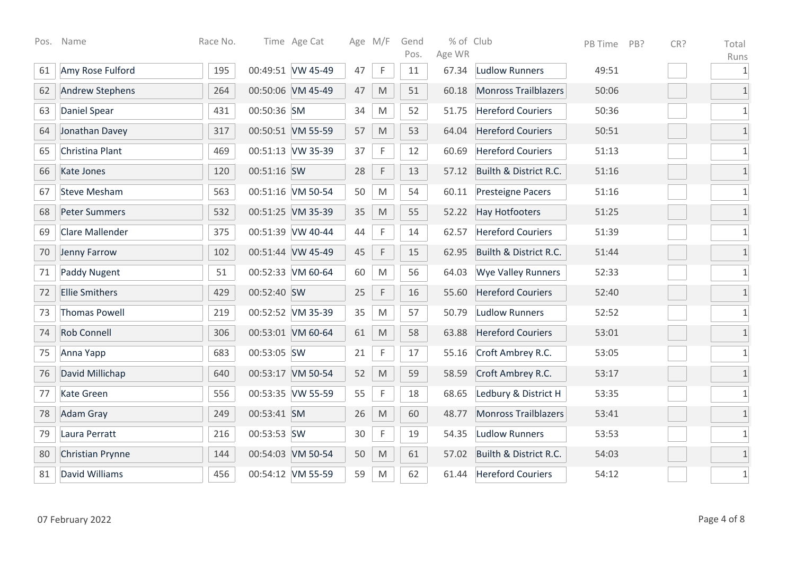| Pos. | Name                   | Race No. |             | Time Age Cat      |    | Age M/F                                                                                                    | Gend<br>Pos. | % of Club<br>Age WR |                             | PB Time | PB? | CR? | Total         |
|------|------------------------|----------|-------------|-------------------|----|------------------------------------------------------------------------------------------------------------|--------------|---------------------|-----------------------------|---------|-----|-----|---------------|
| 61   | Amy Rose Fulford       | 195      |             | 00:49:51 VW 45-49 | 47 | $\mathsf{F}$                                                                                               | 11           | 67.34               | <b>Ludlow Runners</b>       | 49:51   |     |     | Runs<br>$1\,$ |
| 62   | <b>Andrew Stephens</b> | 264      |             | 00:50:06 VM 45-49 | 47 | M                                                                                                          | 51           | 60.18               | <b>Monross Trailblazers</b> | 50:06   |     |     | $\mathbf{1}$  |
| 63   | <b>Daniel Spear</b>    | 431      | 00:50:36 SM |                   | 34 | M                                                                                                          | 52           | 51.75               | <b>Hereford Couriers</b>    | 50:36   |     |     | $\mathbf{1}$  |
| 64   | Jonathan Davey         | 317      |             | 00:50:51 VM 55-59 | 57 | $\mathsf{M}% _{T}=\mathsf{M}_{T}\!\left( a,b\right) ,\ \mathsf{M}_{T}=\mathsf{M}_{T}\!\left( a,b\right) ,$ | 53           | 64.04               | <b>Hereford Couriers</b>    | 50:51   |     |     | $1\,$         |
| 65   | Christina Plant        | 469      |             | 00:51:13 VW 35-39 | 37 | $\mathsf F$                                                                                                | 12           | 60.69               | <b>Hereford Couriers</b>    | 51:13   |     |     | $\mathbf{1}$  |
| 66   | Kate Jones             | 120      | 00:51:16 SW |                   | 28 | $\mathsf F$                                                                                                | 13           | 57.12               | Builth & District R.C.      | 51:16   |     |     | $\mathbf{1}$  |
| 67   | <b>Steve Mesham</b>    | 563      |             | 00:51:16 VM 50-54 | 50 | ${\sf M}$                                                                                                  | 54           | 60.11               | Presteigne Pacers           | 51:16   |     |     | $\mathbf{1}$  |
| 68   | <b>Peter Summers</b>   | 532      |             | 00:51:25 VM 35-39 | 35 | M                                                                                                          | 55           | 52.22               | <b>Hay Hotfooters</b>       | 51:25   |     |     | $1\,$         |
| 69   | <b>Clare Mallender</b> | 375      |             | 00:51:39 VW 40-44 | 44 | $\mathsf F$                                                                                                | 14           | 62.57               | <b>Hereford Couriers</b>    | 51:39   |     |     | $\mathbf{1}$  |
| 70   | Jenny Farrow           | 102      |             | 00:51:44 VW 45-49 | 45 | $\mathsf F$                                                                                                | 15           | 62.95               | Builth & District R.C.      | 51:44   |     |     | $\mathbf{1}$  |
| 71   | <b>Paddy Nugent</b>    | 51       |             | 00:52:33 VM 60-64 | 60 | M                                                                                                          | 56           | 64.03               | <b>Wye Valley Runners</b>   | 52:33   |     |     | $\mathbf{1}$  |
| 72   | <b>Ellie Smithers</b>  | 429      | 00:52:40 SW |                   | 25 | $\mathsf F$                                                                                                | 16           | 55.60               | <b>Hereford Couriers</b>    | 52:40   |     |     | $\mathbf{1}$  |
| 73   | <b>Thomas Powell</b>   | 219      |             | 00:52:52 VM 35-39 | 35 | M                                                                                                          | 57           | 50.79               | <b>Ludlow Runners</b>       | 52:52   |     |     | $\mathbf{1}$  |
| 74   | <b>Rob Connell</b>     | 306      |             | 00:53:01 VM 60-64 | 61 | $\mathsf{M}% _{T}=\mathsf{M}_{T}\!\left( a,b\right) ,\ \mathsf{M}_{T}=\mathsf{M}_{T}\!\left( a,b\right) ,$ | 58           | 63.88               | <b>Hereford Couriers</b>    | 53:01   |     |     | $\mathbf{1}$  |
| 75   | Anna Yapp              | 683      | 00:53:05 SW |                   | 21 | $\mathsf F$                                                                                                | 17           | 55.16               | Croft Ambrey R.C.           | 53:05   |     |     | $\mathbf{1}$  |
| 76   | David Millichap        | 640      |             | 00:53:17 VM 50-54 | 52 | M                                                                                                          | 59           | 58.59               | Croft Ambrey R.C.           | 53:17   |     |     | $\mathbf{1}$  |
| 77   | <b>Kate Green</b>      | 556      |             | 00:53:35 VW 55-59 | 55 | $\mathsf F$                                                                                                | 18           | 68.65               | Ledbury & District H        | 53:35   |     |     | $\mathbf{1}$  |
| 78   | <b>Adam Gray</b>       | 249      | 00:53:41 SM |                   | 26 | $\mathsf{M}% _{T}=\mathsf{M}_{T}\!\left( a,b\right) ,\ \mathsf{M}_{T}=\mathsf{M}_{T}\!\left( a,b\right) ,$ | 60           | 48.77               | <b>Monross Trailblazers</b> | 53:41   |     |     | $\mathbf{1}$  |
| 79   | Laura Perratt          | 216      | 00:53:53 SW |                   | 30 | $\mathsf F$                                                                                                | 19           | 54.35               | <b>Ludlow Runners</b>       | 53:53   |     |     | $\mathbf{1}$  |
| 80   | Christian Prynne       | 144      |             | 00:54:03 VM 50-54 | 50 | M                                                                                                          | 61           | 57.02               | Builth & District R.C.      | 54:03   |     |     | $1\,$         |
| 81   | David Williams         | 456      |             | 00:54:12 VM 55-59 | 59 | M                                                                                                          | 62           | 61.44               | <b>Hereford Couriers</b>    | 54:12   |     |     | $\mathbf{1}$  |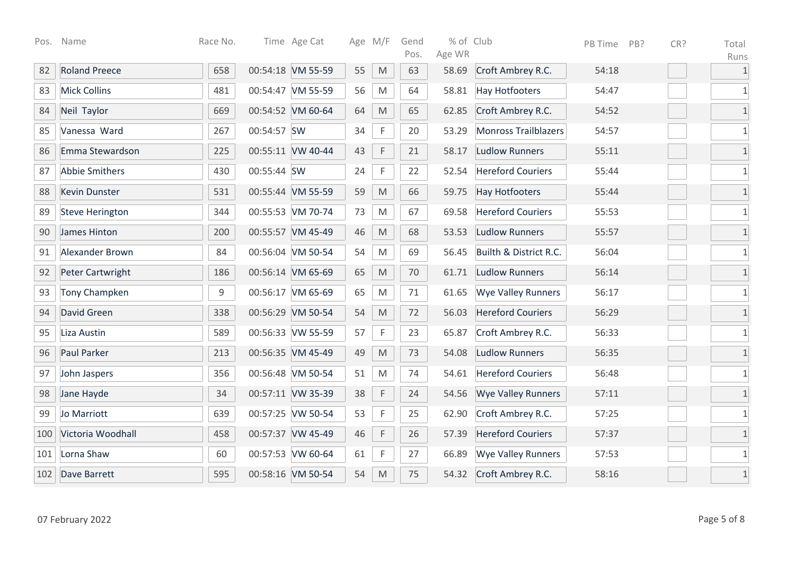| Pos. | Name                   | Race No.    |             | Time Age Cat      |    | Age M/F                                                                                                    | Gend<br>Pos. | % of Club<br>Age WR |                             | PB Time | PB? | CR? | Total                |
|------|------------------------|-------------|-------------|-------------------|----|------------------------------------------------------------------------------------------------------------|--------------|---------------------|-----------------------------|---------|-----|-----|----------------------|
| 82   | <b>Roland Preece</b>   | 658         |             | 00:54:18 VM 55-59 | 55 | M                                                                                                          | 63           | 58.69               | Croft Ambrey R.C.           | 54:18   |     |     | Runs<br>$\mathbf{1}$ |
| 83   | <b>Mick Collins</b>    | 481         |             | 00:54:47 VM 55-59 | 56 | ${\sf M}$                                                                                                  | 64           | 58.81               | <b>Hay Hotfooters</b>       | 54:47   |     |     | $1\,$                |
| 84   | Neil Taylor            | 669         |             | 00:54:52 VM 60-64 | 64 | M                                                                                                          | 65           | 62.85               | Croft Ambrey R.C.           | 54:52   |     |     | $1\,$                |
| 85   | Vanessa Ward           | 267         | 00:54:57 SW |                   | 34 | $\mathsf F$                                                                                                | 20           | 53.29               | <b>Monross Trailblazers</b> | 54:57   |     |     | $\mathbf 1$          |
| 86   | Emma Stewardson        | 225         |             | 00:55:11 VW 40-44 | 43 | $\mathsf F$                                                                                                | 21           | 58.17               | <b>Ludlow Runners</b>       | 55:11   |     |     | $\mathbf 1$          |
| 87   | <b>Abbie Smithers</b>  | 430         | 00:55:44 SW |                   | 24 | $\mathsf F$                                                                                                | 22           | 52.54               | <b>Hereford Couriers</b>    | 55:44   |     |     | $1\,$                |
| 88   | <b>Kevin Dunster</b>   | 531         |             | 00:55:44 VM 55-59 | 59 | ${\sf M}$                                                                                                  | 66           | 59.75               | <b>Hay Hotfooters</b>       | 55:44   |     |     | $\overline{1}$       |
| 89   | <b>Steve Herington</b> | 344         |             | 00:55:53 VM 70-74 | 73 | M                                                                                                          | 67           | 69.58               | <b>Hereford Couriers</b>    | 55:53   |     |     | $\mathbf 1$          |
| 90   | James Hinton           | 200         |             | 00:55:57 VM 45-49 | 46 | $\mathsf{M}% _{T}=\mathsf{M}_{T}\!\left( a,b\right) ,\ \mathsf{M}_{T}=\mathsf{M}_{T}\!\left( a,b\right) ,$ | 68           | 53.53               | <b>Ludlow Runners</b>       | 55:57   |     |     | $\mathbf{1}$         |
| 91   | Alexander Brown        | 84          |             | 00:56:04 VM 50-54 | 54 | M                                                                                                          | 69           | 56.45               | Builth & District R.C.      | 56:04   |     |     | 1                    |
| 92   | Peter Cartwright       | 186         |             | 00:56:14 VM 65-69 | 65 | M                                                                                                          | 70           | 61.71               | <b>Ludlow Runners</b>       | 56:14   |     |     | $\overline{1}$       |
| 93   | <b>Tony Champken</b>   | $\mathsf 9$ |             | 00:56:17 VM 65-69 | 65 | M                                                                                                          | 71           | 61.65               | <b>Wye Valley Runners</b>   | 56:17   |     |     | $1\,$                |
| 94   | David Green            | 338         |             | 00:56:29 VM 50-54 | 54 | ${\sf M}$                                                                                                  | 72           | 56.03               | <b>Hereford Couriers</b>    | 56:29   |     |     | $1\,$                |
| 95   | Liza Austin            | 589         |             | 00:56:33 VW 55-59 | 57 | $\mathsf{F}$                                                                                               | 23           | 65.87               | Croft Ambrey R.C.           | 56:33   |     |     | $\mathbf 1$          |
| 96   | Paul Parker            | 213         |             | 00:56:35 VM 45-49 | 49 | $\mathsf{M}% _{T}=\mathsf{M}_{T}\!\left( a,b\right) ,\ \mathsf{M}_{T}=\mathsf{M}_{T}\!\left( a,b\right) ,$ | 73           | 54.08               | <b>Ludlow Runners</b>       | 56:35   |     |     | $\overline{1}$       |
| 97   | John Jaspers           | 356         |             | 00:56:48 VM 50-54 | 51 | M                                                                                                          | 74           | 54.61               | <b>Hereford Couriers</b>    | 56:48   |     |     | $1\,$                |
| 98   | Jane Hayde             | 34          |             | 00:57:11 VW 35-39 | 38 | $\mathsf F$                                                                                                | 24           | 54.56               | <b>Wye Valley Runners</b>   | 57:11   |     |     | $\mathbf 1$          |
| 99   | Jo Marriott            | 639         |             | 00:57:25 VW 50-54 | 53 | $\mathsf F$                                                                                                | 25           | 62.90               | Croft Ambrey R.C.           | 57:25   |     |     | $\mathbf{1}$         |
| 100  | Victoria Woodhall      | 458         |             | 00:57:37 VW 45-49 | 46 | $\mathsf F$                                                                                                | 26           | 57.39               | <b>Hereford Couriers</b>    | 57:37   |     |     | $\mathbf{1}$         |
| 101  | Lorna Shaw             | 60          |             | 00:57:53 VW 60-64 | 61 | $\mathsf F$                                                                                                | 27           | 66.89               | <b>Wye Valley Runners</b>   | 57:53   |     |     | 1                    |
| 102  | Dave Barrett           | 595         |             | 00:58:16 VM 50-54 | 54 | M                                                                                                          | 75           | 54.32               | Croft Ambrey R.C.           | 58:16   |     |     | $1\,$                |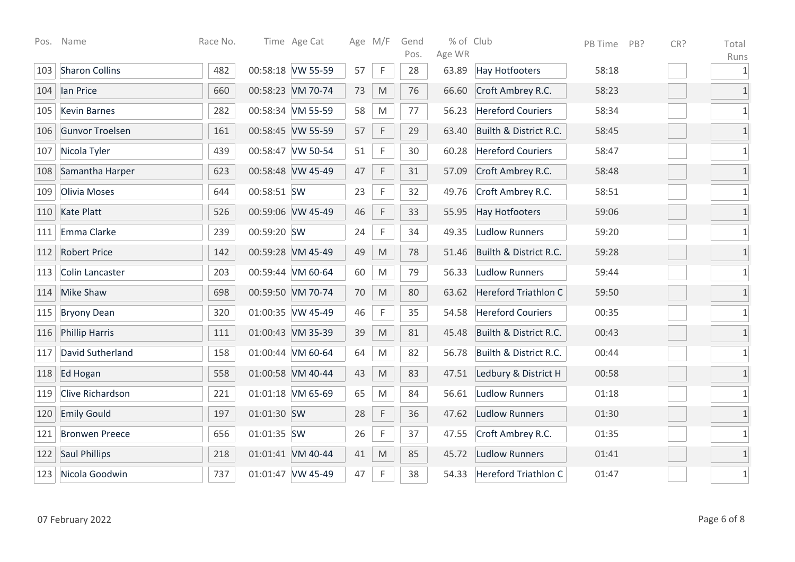| Pos. | Name                  | Race No. |             | Time Age Cat      |    | Age M/F                                                                                                    | Gend<br>Pos. | % of Club<br>Age WR |                             | PB Time | PB? | CR? | Total                |
|------|-----------------------|----------|-------------|-------------------|----|------------------------------------------------------------------------------------------------------------|--------------|---------------------|-----------------------------|---------|-----|-----|----------------------|
| 103  | <b>Sharon Collins</b> | 482      |             | 00:58:18 VW 55-59 | 57 | $\mathsf{F}$                                                                                               | 28           | 63.89               | <b>Hay Hotfooters</b>       | 58:18   |     |     | Runs<br>$\mathbf{1}$ |
| 104  | lan Price             | 660      |             | 00:58:23 VM 70-74 | 73 | $\mathsf{M}% _{T}=\mathsf{M}_{T}\!\left( a,b\right) ,\ \mathsf{M}_{T}=\mathsf{M}_{T}\!\left( a,b\right) ,$ | 76           | 66.60               | Croft Ambrey R.C.           | 58:23   |     |     | $1\,$                |
| 105  | <b>Kevin Barnes</b>   | 282      |             | 00:58:34 VM 55-59 | 58 | ${\sf M}$                                                                                                  | 77           | 56.23               | <b>Hereford Couriers</b>    | 58:34   |     |     | $1\,$                |
| 106  | Gunvor Troelsen       | 161      |             | 00:58:45 VW 55-59 | 57 | $\mathsf F$                                                                                                | 29           | 63.40               | Builth & District R.C.      | 58:45   |     |     | $\overline{1}$       |
| 107  | Nicola Tyler          | 439      |             | 00:58:47 VW 50-54 | 51 | $\mathsf F$                                                                                                | 30           | 60.28               | <b>Hereford Couriers</b>    | 58:47   |     |     | $1\,$                |
| 108  | Samantha Harper       | 623      |             | 00:58:48 VW 45-49 | 47 | $\mathsf F$                                                                                                | 31           | 57.09               | Croft Ambrey R.C.           | 58:48   |     |     | $\mathbf{1}$         |
| 109  | Olivia Moses          | 644      | 00:58:51 SW |                   | 23 | F                                                                                                          | 32           | 49.76               | Croft Ambrey R.C.           | 58:51   |     |     | $1\,$                |
| 110  | <b>Kate Platt</b>     | 526      |             | 00:59:06 VW 45-49 | 46 | $\mathsf F$                                                                                                | 33           | 55.95               | <b>Hay Hotfooters</b>       | 59:06   |     |     | $\mathbf 1$          |
| 111  | Emma Clarke           | 239      | 00:59:20 SW |                   | 24 | $\mathsf F$                                                                                                | 34           | 49.35               | <b>Ludlow Runners</b>       | 59:20   |     |     | $1\,$                |
| 112  | <b>Robert Price</b>   | 142      |             | 00:59:28 VM 45-49 | 49 | M                                                                                                          | 78           | 51.46               | Builth & District R.C.      | 59:28   |     |     | $\mathbf{1}$         |
| 113  | Colin Lancaster       | 203      |             | 00:59:44 VM 60-64 | 60 | M                                                                                                          | 79           | 56.33               | <b>Ludlow Runners</b>       | 59:44   |     |     | $\mathbf 1$          |
| 114  | <b>Mike Shaw</b>      | 698      |             | 00:59:50 VM 70-74 | 70 | $\mathsf{M}% _{T}=\mathsf{M}_{T}\!\left( a,b\right) ,\ \mathsf{M}_{T}=\mathsf{M}_{T}\!\left( a,b\right) ,$ | 80           | 63.62               | <b>Hereford Triathlon C</b> | 59:50   |     |     | $\mathbf{1}$         |
| 115  | <b>Bryony Dean</b>    | 320      |             | 01:00:35 VW 45-49 | 46 | $\mathsf F$                                                                                                | 35           | 54.58               | <b>Hereford Couriers</b>    | 00:35   |     |     | 1                    |
| 116  | <b>Phillip Harris</b> | 111      |             | 01:00:43 VM 35-39 | 39 | M                                                                                                          | 81           | 45.48               | Builth & District R.C.      | 00:43   |     |     | $\overline{1}$       |
| 117  | David Sutherland      | 158      |             | 01:00:44 VM 60-64 | 64 | M                                                                                                          | 82           | 56.78               | Builth & District R.C.      | 00:44   |     |     | $\mathbf{1}$         |
| 118  | Ed Hogan              | 558      |             | 01:00:58 VM 40-44 | 43 | $\mathsf{M}% _{T}=\mathsf{M}_{T}\!\left( a,b\right) ,\ \mathsf{M}_{T}=\mathsf{M}_{T}\!\left( a,b\right) ,$ | 83           | 47.51               | Ledbury & District H        | 00:58   |     |     | $1\,$                |
| 119  | Clive Richardson      | 221      |             | 01:01:18 VM 65-69 | 65 | M                                                                                                          | 84           | 56.61               | <b>Ludlow Runners</b>       | 01:18   |     |     | $1\,$                |
| 120  | <b>Emily Gould</b>    | 197      | 01:01:30 SW |                   | 28 | $\mathsf F$                                                                                                | 36           | 47.62               | <b>Ludlow Runners</b>       | 01:30   |     |     | $\mathbf{1}$         |
| 121  | <b>Bronwen Preece</b> | 656      | 01:01:35 SW |                   | 26 | $\mathsf F$                                                                                                | 37           | 47.55               | Croft Ambrey R.C.           | 01:35   |     |     | $\mathbf 1$          |
| 122  | <b>Saul Phillips</b>  | 218      |             | 01:01:41 VM 40-44 | 41 | M                                                                                                          | 85           | 45.72               | <b>Ludlow Runners</b>       | 01:41   |     |     | $\mathbf{1}$         |
| 123  | Nicola Goodwin        | 737      |             | 01:01:47 VW 45-49 | 47 | $\mathsf{F}$                                                                                               | 38           | 54.33               | <b>Hereford Triathlon C</b> | 01:47   |     |     | $\mathbf 1$          |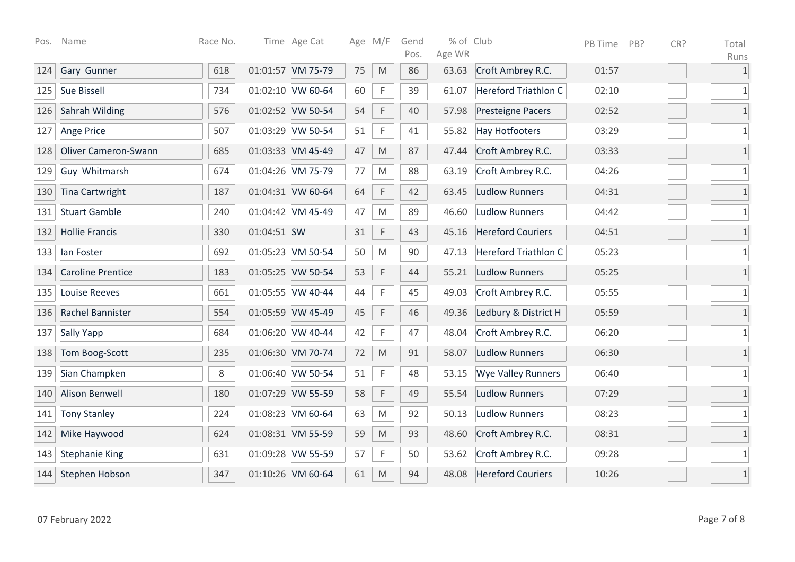| Pos. | Name                     | Race No. |             | Time Age Cat      |    | Age M/F                                                                                                    | Gend<br>Pos. | % of Club<br>Age WR |                             | PB Time | PB? | CR? | Total                |
|------|--------------------------|----------|-------------|-------------------|----|------------------------------------------------------------------------------------------------------------|--------------|---------------------|-----------------------------|---------|-----|-----|----------------------|
| 124  | Gary Gunner              | 618      |             | 01:01:57 VM 75-79 | 75 | M                                                                                                          | 86           | 63.63               | Croft Ambrey R.C.           | 01:57   |     |     | Runs<br>$\mathbf{1}$ |
| 125  | <b>Sue Bissell</b>       | 734      |             | 01:02:10 VW 60-64 | 60 | $\mathsf F$                                                                                                | 39           | 61.07               | <b>Hereford Triathlon C</b> | 02:10   |     |     | $\mathbf 1$          |
| 126  | Sahrah Wilding           | 576      |             | 01:02:52 VW 50-54 | 54 | $\mathsf F$                                                                                                | 40           | 57.98               | <b>Presteigne Pacers</b>    | 02:52   |     |     | $1\,$                |
| 127  | Ange Price               | 507      |             | 01:03:29 VW 50-54 | 51 | $\mathsf F$                                                                                                | 41           | 55.82               | <b>Hay Hotfooters</b>       | 03:29   |     |     | $\mathbf{1}$         |
| 128  | Oliver Cameron-Swann     | 685      |             | 01:03:33 VM 45-49 | 47 | $\mathsf{M}% _{T}=\mathsf{M}_{T}\!\left( a,b\right) ,\ \mathsf{M}_{T}=\mathsf{M}_{T}\!\left( a,b\right) ,$ | 87           | 47.44               | Croft Ambrey R.C.           | 03:33   |     |     | $\mathbf 1$          |
| 129  | Guy Whitmarsh            | 674      |             | 01:04:26 VM 75-79 | 77 | M                                                                                                          | 88           | 63.19               | Croft Ambrey R.C.           | 04:26   |     |     | $1\,$                |
| 130  | <b>Tina Cartwright</b>   | 187      |             | 01:04:31 VW 60-64 | 64 | $\mathsf F$                                                                                                | 42           | 63.45               | <b>Ludlow Runners</b>       | 04:31   |     |     | $\overline{1}$       |
| 131  | <b>Stuart Gamble</b>     | 240      |             | 01:04:42 VM 45-49 | 47 | M                                                                                                          | 89           | 46.60               | <b>Ludlow Runners</b>       | 04:42   |     |     | $\mathbf 1$          |
| 132  | <b>Hollie Francis</b>    | 330      | 01:04:51 SW |                   | 31 | $\mathsf F$                                                                                                | 43           | 45.16               | <b>Hereford Couriers</b>    | 04:51   |     |     | $\mathbf{1}$         |
| 133  | lan Foster               | 692      |             | 01:05:23 VM 50-54 | 50 | M                                                                                                          | 90           | 47.13               | <b>Hereford Triathlon C</b> | 05:23   |     |     | 1                    |
| 134  | <b>Caroline Prentice</b> | 183      |             | 01:05:25 VW 50-54 | 53 | $\mathsf F$                                                                                                | 44           | 55.21               | <b>Ludlow Runners</b>       | 05:25   |     |     | $\overline{1}$       |
| 135  | <b>Louise Reeves</b>     | 661      |             | 01:05:55 VW 40-44 | 44 | $\mathsf F$                                                                                                | 45           | 49.03               | Croft Ambrey R.C.           | 05:55   |     |     | $1\,$                |
| 136  | Rachel Bannister         | 554      |             | 01:05:59 VW 45-49 | 45 | $\mathsf F$                                                                                                | 46           | 49.36               | Ledbury & District H        | 05:59   |     |     | $1\,$                |
| 137  | <b>Sally Yapp</b>        | 684      |             | 01:06:20 VW 40-44 | 42 | $\mathsf{F}$                                                                                               | 47           | 48.04               | Croft Ambrey R.C.           | 06:20   |     |     | $\mathbf 1$          |
| 138  | Tom Boog-Scott           | 235      |             | 01:06:30 VM 70-74 | 72 | $\mathsf{M}% _{T}=\mathsf{M}_{T}\!\left( a,b\right) ,\ \mathsf{M}_{T}=\mathsf{M}_{T}\!\left( a,b\right) ,$ | 91           | 58.07               | <b>Ludlow Runners</b>       | 06:30   |     |     | $\overline{1}$       |
| 139  | Sian Champken            | $\,8\,$  |             | 01:06:40 VW 50-54 | 51 | $\mathsf{F}$                                                                                               | 48           | 53.15               | <b>Wye Valley Runners</b>   | 06:40   |     |     | $1\,$                |
| 140  | <b>Alison Benwell</b>    | 180      |             | 01:07:29 VW 55-59 | 58 | $\mathsf F$                                                                                                | 49           | 55.54               | <b>Ludlow Runners</b>       | 07:29   |     |     | $\overline{1}$       |
| 141  | <b>Tony Stanley</b>      | 224      |             | 01:08:23 VM 60-64 | 63 | M                                                                                                          | 92           | 50.13               | <b>Ludlow Runners</b>       | 08:23   |     |     | $\mathbf{1}$         |
| 142  | Mike Haywood             | 624      |             | 01:08:31 VM 55-59 | 59 | $\mathsf{M}% _{T}=\mathsf{M}_{T}\!\left( a,b\right) ,\ \mathsf{M}_{T}=\mathsf{M}_{T}\!\left( a,b\right) ,$ | 93           | 48.60               | Croft Ambrey R.C.           | 08:31   |     |     | $\mathbf{1}$         |
| 143  | <b>Stephanie King</b>    | 631      |             | 01:09:28 VW 55-59 | 57 | $\mathsf F$                                                                                                | 50           | 53.62               | Croft Ambrey R.C.           | 09:28   |     |     | 1                    |
| 144  | Stephen Hobson           | 347      |             | 01:10:26 VM 60-64 | 61 | M                                                                                                          | 94           | 48.08               | <b>Hereford Couriers</b>    | 10:26   |     |     | $1\,$                |